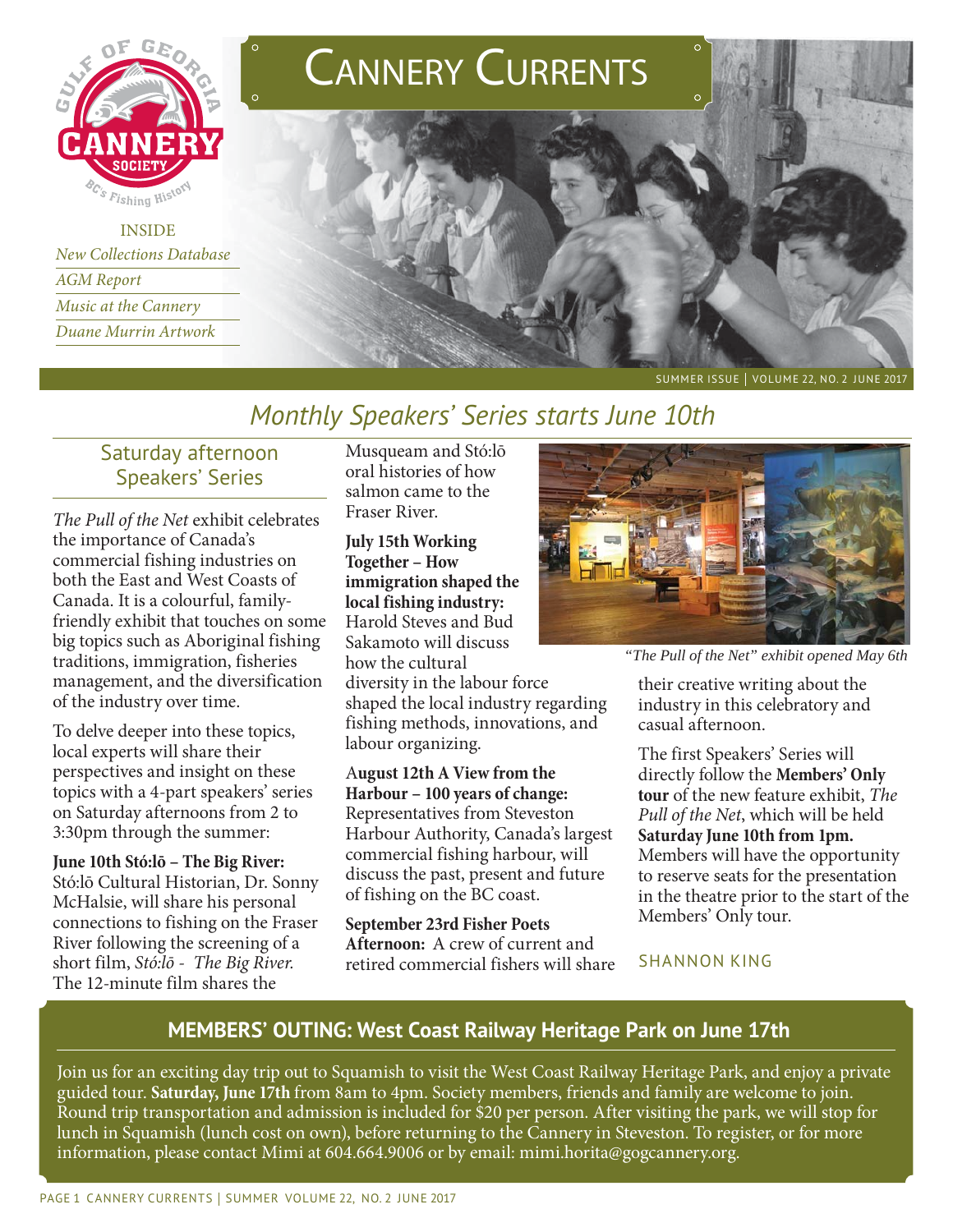

INSIDE *New Collections Database Music at the Cannery Duane Murrin Artwork Duane Murrin Artwork*





SUMMER ISSUE | VOLUME 22, NO. 2 JUNE 2017

# *Monthly Speakers' Series starts June 10th*

## Saturday afternoon Speakers' Series

*The Pull of the Net* exhibit celebrates the importance of Canada's commercial fishing industries on both the East and West Coasts of Canada. It is a colourful, familyfriendly exhibit that touches on some big topics such as Aboriginal fishing traditions, immigration, fisheries management, and the diversification of the industry over time.

To delve deeper into these topics, local experts will share their perspectives and insight on these topics with a 4-part speakers' series on Saturday afternoons from 2 to 3:30pm through the summer:

**June 10th Stó:lō – The Big River:**  Stó:lō Cultural Historian, Dr. Sonny McHalsie, will share his personal connections to fishing on the Fraser River following the screening of a short film, *Stó:lō - The Big River.* The 12-minute film shares the

Musqueam and Stó:lō oral histories of how salmon came to the Fraser River.

**July 15th Working Together – How immigration shaped the local fishing industry:** Harold Steves and Bud Sakamoto will discuss how the cultural diversity in the labour force shaped the local industry regarding fishing methods, innovations, and labour organizing.

A**ugust 12th A View from the Harbour – 100 years of change:**  Representatives from Steveston Harbour Authority, Canada's largest commercial fishing harbour, will discuss the past, present and future of fishing on the BC coast.

**September 23rd Fisher Poets Afternoon:** A crew of current and retired commercial fishers will share



*"The Pull of the Net" exhibit opened May 6th*

their creative writing about the industry in this celebratory and casual afternoon.

The first Speakers' Series will directly follow the **Members' Only tour** of the new feature exhibit, *The Pull of the Net*, which will be held **Saturday June 10th from 1pm.** Members will have the opportunity to reserve seats for the presentation in the theatre prior to the start of the Members' Only tour.

SHANNON KING

## **MEMBERS' OUTING: West Coast Railway Heritage Park on June 17th**

Join us for an exciting day trip out to Squamish to visit the West Coast Railway Heritage Park, and enjoy a private guided tour. **Saturday, June 17th** from 8am to 4pm. Society members, friends and family are welcome to join. Round trip transportation and admission is included for \$20 per person. After visiting the park, we will stop for lunch in Squamish (lunch cost on own), before returning to the Cannery in Steveston. To register, or for more information, please contact Mimi at 604.664.9006 or by email: mimi.horita@gogcannery.org.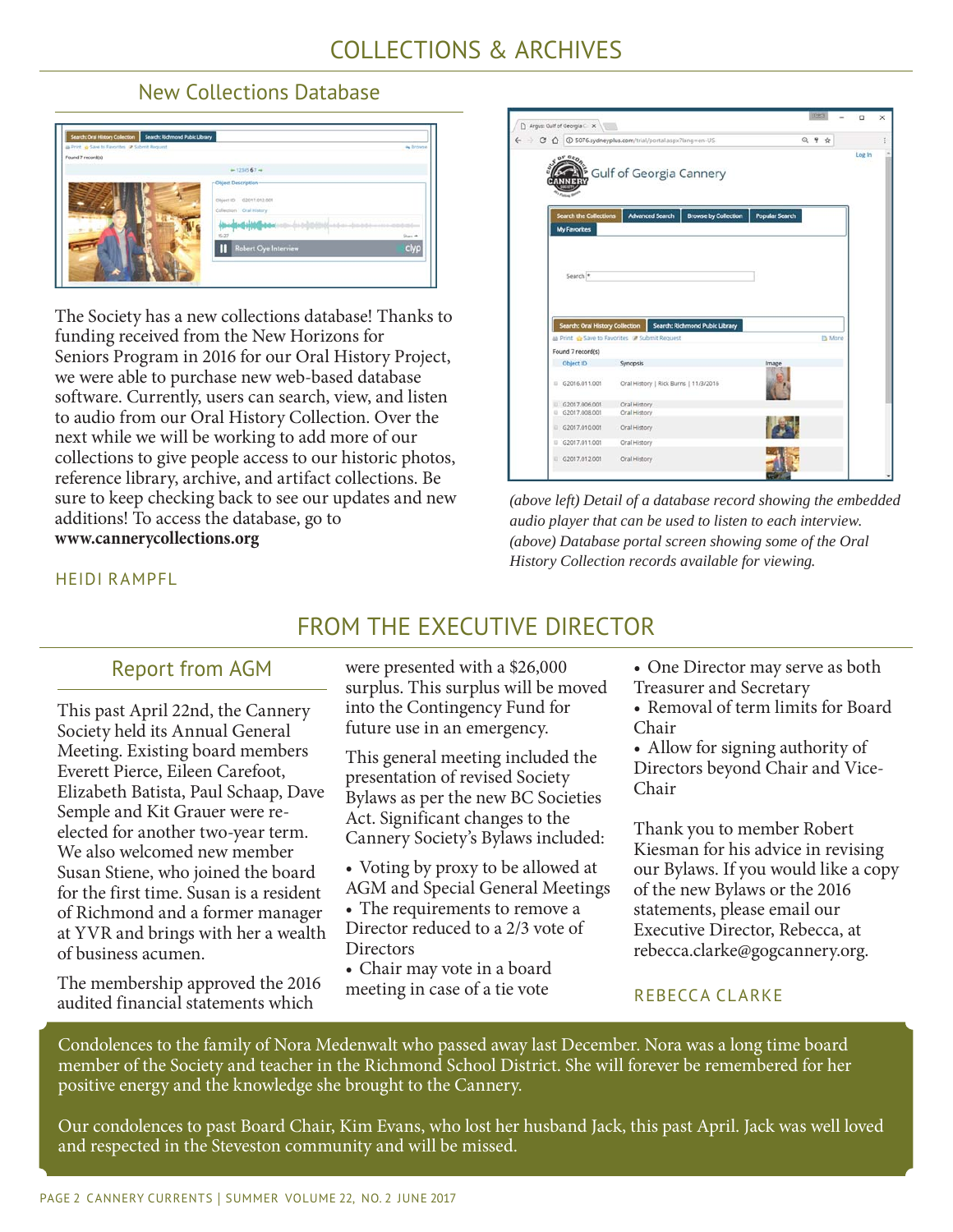#### New Collections Database



The Society has a new collections database! Thanks to funding received from the New Horizons for Seniors Program in 2016 for our Oral History Project, we were able to purchase new web-based database software. Currently, users can search, view, and listen to audio from our Oral History Collection. Over the next while we will be working to add more of our collections to give people access to our historic photos, reference library, archive, and artifact collections. Be sure to keep checking back to see our updates and new additions! To access the database, go to **www.cannerycollections.org** 



*(above left) Detail of a database record showing the embedded audio player that can be used to listen to each interview. (above) Database portal screen showing some of the Oral History Collection records available for viewing.* 

#### HEIDI RAMPFL

## FROM THE EXECUTIVE DIRECTOR

### Report from AGM

This past April 22nd, the Cannery Society held its Annual General Meeting. Existing board members Everett Pierce, Eileen Carefoot, Elizabeth Batista, Paul Schaap, Dave Semple and Kit Grauer were reelected for another two-year term. We also welcomed new member Susan Stiene, who joined the board for the first time. Susan is a resident of Richmond and a former manager at YVR and brings with her a wealth of business acumen.

The membership approved the 2016 audited financial statements which

were presented with a \$26,000 surplus. This surplus will be moved into the Contingency Fund for future use in an emergency.

This general meeting included the presentation of revised Society Bylaws as per the new BC Societies Act. Significant changes to the Cannery Society's Bylaws included:

• Voting by proxy to be allowed at AGM and Special General Meetings • The requirements to remove a Director reduced to a 2/3 vote of **Directors** 

• Chair may vote in a board meeting in case of a tie vote

- One Director may serve as both
- Treasurer and Secretary
- Removal of term limits for Board Chair

• Allow for signing authority of Directors beyond Chair and Vice-Chair

Thank you to member Robert Kiesman for his advice in revising our Bylaws. If you would like a copy of the new Bylaws or the 2016 statements, please email our Executive Director, Rebecca, at rebecca.clarke@gogcannery.org.

#### REBECCA CLARKE

Condolences to the family of Nora Medenwalt who passed away last December. Nora was a long time board member of the Society and teacher in the Richmond School District. She will forever be remembered for her positive energy and the knowledge she brought to the Cannery.

Our condolences to past Board Chair, Kim Evans, who lost her husband Jack, this past April. Jack was well loved and respected in the Steveston community and will be missed.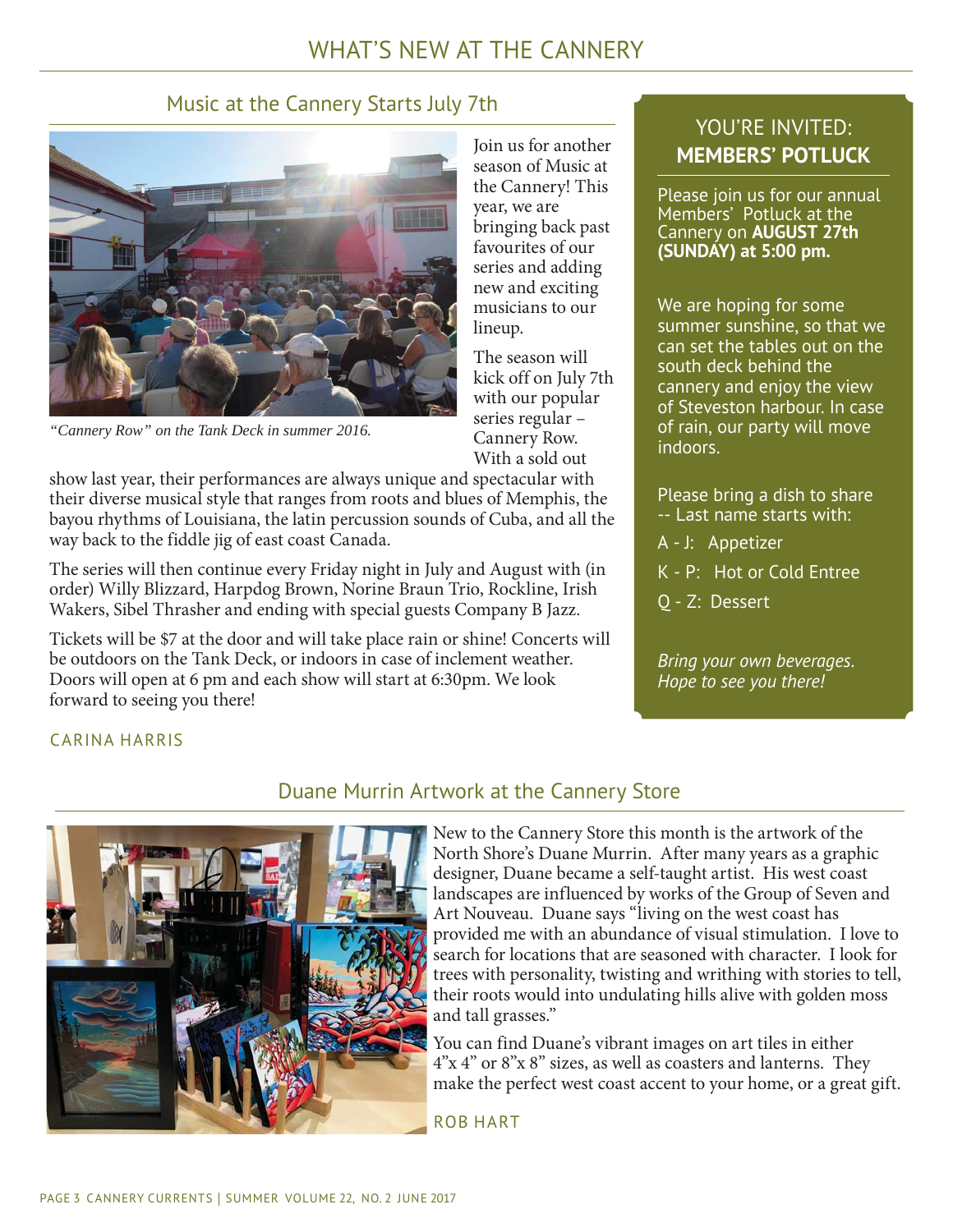## WHAT'S NEW AT THE CANNERY

## Music at the Cannery Starts July 7th



*"Cannery Row" on the Tank Deck in summer 2016.*

Join us for another season of Music at the Cannery! This year, we are bringing back past favourites of our series and adding new and exciting musicians to our lineup.

The season will kick off on July 7th with our popular series regular – Cannery Row. With a sold out

show last year, their performances are always unique and spectacular with their diverse musical style that ranges from roots and blues of Memphis, the bayou rhythms of Louisiana, the latin percussion sounds of Cuba, and all the way back to the fiddle jig of east coast Canada.

The series will then continue every Friday night in July and August with (in order) Willy Blizzard, Harpdog Brown, Norine Braun Trio, Rockline, Irish Wakers, Sibel Thrasher and ending with special guests Company B Jazz.

Tickets will be \$7 at the door and will take place rain or shine! Concerts will be outdoors on the Tank Deck, or indoors in case of inclement weather. Doors will open at 6 pm and each show will start at 6:30pm. We look forward to seeing you there!

## YOU'RE INVITED: **MEMBERS' POTLUCK**

Please join us for our annual Members' Potluck at the Cannery on **AUGUST 27th (SUNDAY) at 5:00 pm.**

We are hoping for some summer sunshine, so that we can set the tables out on the south deck behind the cannery and enjoy the view of Steveston harbour. In case of rain, our party will move indoors.

Please bring a dish to share -- Last name starts with:

A - J: Appetizer

K - P: Hot or Cold Entree

Q - Z: Dessert

*Bring your own beverages. Hope to see you there!*

#### CARINA HARRIS



#### Duane Murrin Artwork at the Cannery Store

New to the Cannery Store this month is the artwork of the North Shore's Duane Murrin. After many years as a graphic designer, Duane became a self-taught artist. His west coast landscapes are influenced by works of the Group of Seven and Art Nouveau. Duane says "living on the west coast has provided me with an abundance of visual stimulation. I love to search for locations that are seasoned with character. I look for trees with personality, twisting and writhing with stories to tell, their roots would into undulating hills alive with golden moss and tall grasses."

You can find Duane's vibrant images on art tiles in either 4"x 4" or 8"x 8" sizes, as well as coasters and lanterns. They make the perfect west coast accent to your home, or a great gift.

ROB HART